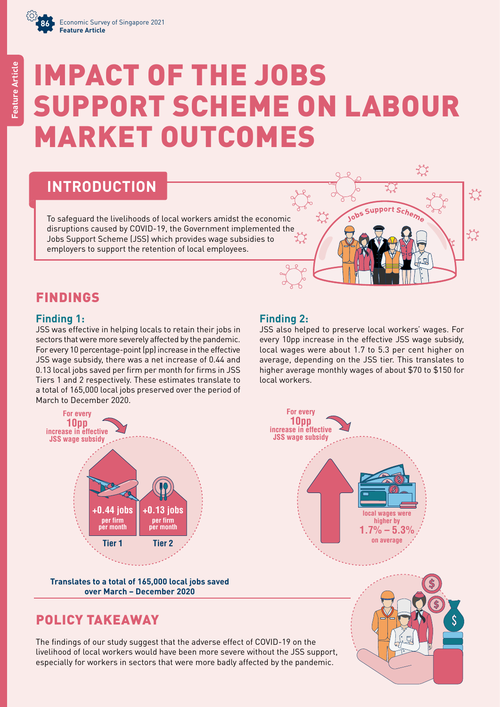# IMPACT OF THE JOBS SUPPORT SCHEME ON LABOUR MARKET OUTCOMES

# **INTRODUCTION**

To safeguard the livelihoods of local workers amidst the economic disruptions caused by COVID-19, the Government implemented the Jobs Support Scheme (JSS) which provides wage subsidies to employers to support the retention of local employees.



# FINDINGS

#### **Finding 1:**

JSS was effective in helping locals to retain their jobs in sectors that were more severely affected by the pandemic. For every 10 percentage-point (pp) increase in the effective JSS wage subsidy, there was a net increase of 0.44 and 0.13 local jobs saved per firm per month for firms in JSS Tiers 1 and 2 respectively. These estimates translate to a total of 165,000 local jobs preserved over the period of March to December 2020.



**Translates to a total of 165,000 local jobs saved over March – December 2020**

## POLICY TAKEAWAY

The findings of our study suggest that the adverse effect of COVID-19 on the livelihood of local workers would have been more severe without the JSS support, especially for workers in sectors that were more badly affected by the pandemic.

#### **Finding 2:**

**For every 10pp increase in effective JSS wage subsidy**

JSS also helped to preserve local workers' wages. For every 10pp increase in the effective JSS wage subsidy, local wages were about 1.7 to 5.3 per cent higher on average, depending on the JSS tier. This translates to higher average monthly wages of about \$70 to \$150 for local workers.

> **1.7% – 5.3% on average**

**local wages were higher by**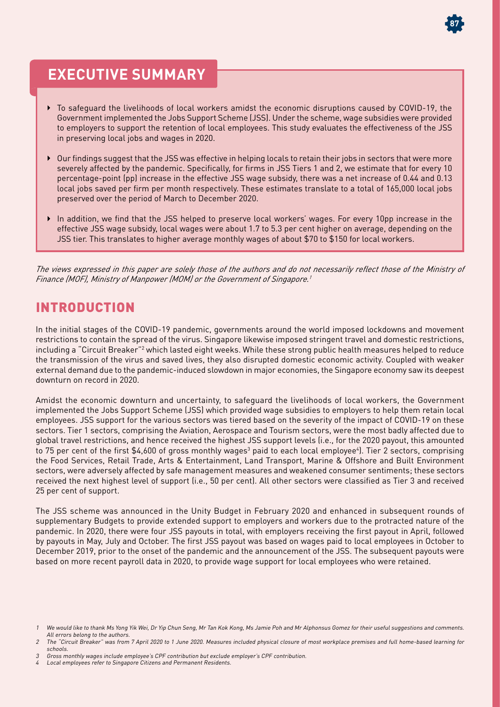

# **EXECUTIVE SUMMARY**

- To safeguard the livelihoods of local workers amidst the economic disruptions caused by COVID-19, the Government implemented the Jobs Support Scheme (JSS). Under the scheme, wage subsidies were provided to employers to support the retention of local employees. This study evaluates the effectiveness of the JSS in preserving local jobs and wages in 2020.
- Our findings suggest that the JSS was effective in helping locals to retain their jobs in sectors that were more severely affected by the pandemic. Specifically, for firms in JSS Tiers 1 and 2, we estimate that for every 10 percentage-point (pp) increase in the effective JSS wage subsidy, there was a net increase of 0.44 and 0.13 local jobs saved per firm per month respectively. These estimates translate to a total of 165,000 local jobs preserved over the period of March to December 2020.
- In addition, we find that the JSS helped to preserve local workers' wages. For every 10pp increase in the effective JSS wage subsidy, local wages were about 1.7 to 5.3 per cent higher on average, depending on the JSS tier. This translates to higher average monthly wages of about \$70 to \$150 for local workers.

*The views expressed in this paper are solely those of the authors and do not necessarily reflect those of the Ministry of Finance (MOF), Ministry of Manpower (MOM) or the Government of Singapore.<sup>1</sup>*

### INTRODUCTION

In the initial stages of the COVID-19 pandemic, governments around the world imposed lockdowns and movement restrictions to contain the spread of the virus. Singapore likewise imposed stringent travel and domestic restrictions, including a "Circuit Breaker"<sup>2</sup> which lasted eight weeks. While these strong public health measures helped to reduce the transmission of the virus and saved lives, they also disrupted domestic economic activity. Coupled with weaker external demand due to the pandemic-induced slowdown in major economies, the Singapore economy saw its deepest downturn on record in 2020.

Amidst the economic downturn and uncertainty, to safeguard the livelihoods of local workers, the Government implemented the Jobs Support Scheme (JSS) which provided wage subsidies to employers to help them retain local employees. JSS support for the various sectors was tiered based on the severity of the impact of COVID-19 on these sectors. Tier 1 sectors, comprising the Aviation, Aerospace and Tourism sectors, were the most badly affected due to global travel restrictions, and hence received the highest JSS support levels (i.e., for the 2020 payout, this amounted to 75 per cent of the first \$4,600 of gross monthly wages $^3$  paid to each local employee $^4$ ). Tier 2 sectors, comprising the Food Services, Retail Trade, Arts & Entertainment, Land Transport, Marine & Offshore and Built Environment sectors, were adversely affected by safe management measures and weakened consumer sentiments; these sectors received the next highest level of support (i.e., 50 per cent). All other sectors were classified as Tier 3 and received 25 per cent of support.

The JSS scheme was announced in the Unity Budget in February 2020 and enhanced in subsequent rounds of supplementary Budgets to provide extended support to employers and workers due to the protracted nature of the pandemic. In 2020, there were four JSS payouts in total, with employers receiving the first payout in April, followed by payouts in May, July and October. The first JSS payout was based on wages paid to local employees in October to December 2019, prior to the onset of the pandemic and the announcement of the JSS. The subsequent payouts were based on more recent payroll data in 2020, to provide wage support for local employees who were retained.

<sup>1</sup> We would like to thank Ms Yong Yik Wei, Dr Yip Chun Seng, Mr Tan Kok Kong, Ms Jamie Poh and Mr Alphonsus Gomez for their useful suggestions and comments. All errors belong to the authors.

<sup>2</sup> The "Circuit Breaker" was from 7 April 2020 to 1 June 2020. Measures included physical closure of most workplace premises and full home-based learning for schools.

<sup>3</sup> Gross monthly wages include employee's CPF contribution but exclude employer's CPF contribution.

<sup>4</sup> Local employees refer to Singapore Citizens and Permanent Residents.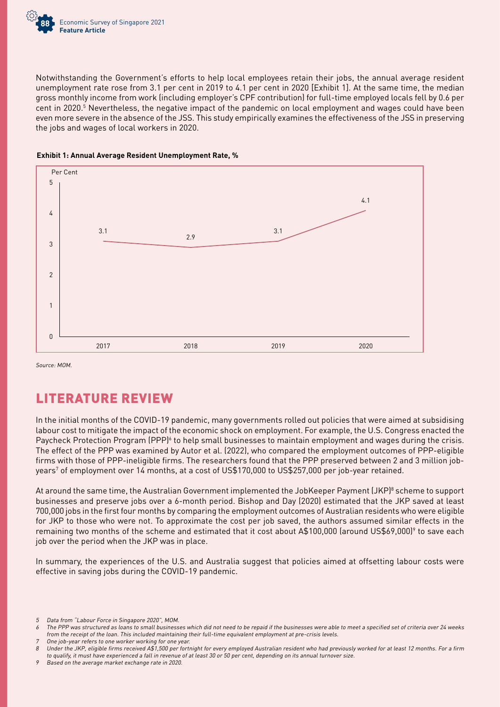

Notwithstanding the Government's efforts to help local employees retain their jobs, the annual average resident unemployment rate rose from 3.1 per cent in 2019 to 4.1 per cent in 2020 [Exhibit 1]. At the same time, the median gross monthly income from work (including employer's CPF contribution) for full-time employed locals fell by 0.6 per cent in 2020.<sup>5</sup> Nevertheless, the negative impact of the pandemic on local employment and wages could have been even more severe in the absence of the JSS. This study empirically examines the effectiveness of the JSS in preserving the jobs and wages of local workers in 2020.



#### **Exhibit 1: Annual Average Resident Unemployment Rate, %**

Source: MOM.

## LITERATURE REVIEW

In the initial months of the COVID-19 pandemic, many governments rolled out policies that were aimed at subsidising labour cost to mitigate the impact of the economic shock on employment. For example, the U.S. Congress enacted the Paycheck Protection Program (PPP)<sup>6</sup> to help small businesses to maintain employment and wages during the crisis. The effect of the PPP was examined by Autor et al. (2022), who compared the employment outcomes of PPP-eligible firms with those of PPP-ineligible firms. The researchers found that the PPP preserved between 2 and 3 million jobyears7 of employment over 14 months, at a cost of US\$170,000 to US\$257,000 per job-year retained.

At around the same time, the Australian Government implemented the JobKeeper Payment (JKP)<sup>8</sup> scheme to support businesses and preserve jobs over a 6-month period. Bishop and Day (2020) estimated that the JKP saved at least 700,000 jobs in the first four months by comparing the employment outcomes of Australian residents who were eligible for JKP to those who were not. To approximate the cost per job saved, the authors assumed similar effects in the remaining two months of the scheme and estimated that it cost about A\$100,000 (around US\$69,000)<sup>9</sup> to save each job over the period when the JKP was in place.

In summary, the experiences of the U.S. and Australia suggest that policies aimed at offsetting labour costs were effective in saving jobs during the COVID-19 pandemic.

5 Data from "Labour Force in Singapore 2020", MOM.

 $\overline{6}$  The PPP was structured as loans to small businesses which did not need to be repaid if the businesses were able to meet a specified set of criteria over 24 weeks from the receipt of the loan. This included maintaining their full-time equivalent employment at pre-crisis levels.

<sup>7</sup> One job-year refers to one worker working for one year.

<sup>8</sup> Under the JKP, eligible firms received A\$1,500 per fortnight for every employed Australian resident who had previously worked for at least 12 months. For a firm to qualify, it must have experienced a fall in revenue of at least 30 or 50 per cent, depending on its annual turnover size.

Based on the average market exchange rate in 2020.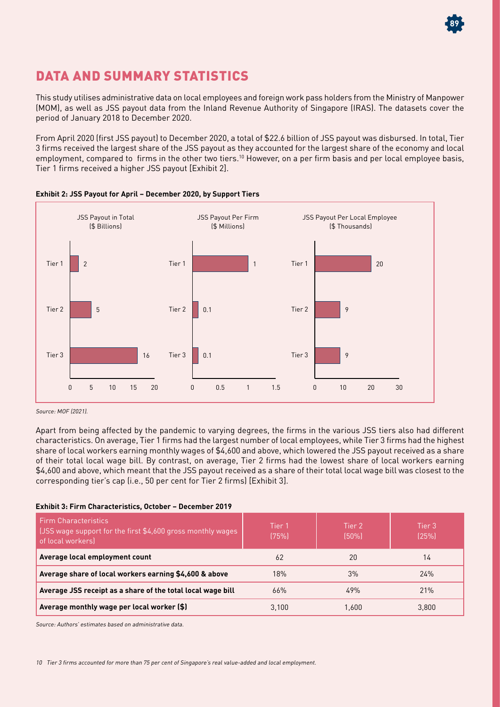

# DATA AND SUMMARY STATISTICS

This study utilises administrative data on local employees and foreign work pass holders from the Ministry of Manpower (MOM), as well as JSS payout data from the Inland Revenue Authority of Singapore (IRAS). The datasets cover the period of January 2018 to December 2020.

From April 2020 (first JSS payout) to December 2020, a total of \$22.6 billion of JSS payout was disbursed. In total, Tier 3 firms received the largest share of the JSS payout as they accounted for the largest share of the economy and local employment, compared to firms in the other two tiers.<sup>10</sup> However, on a per firm basis and per local employee basis, Tier 1 firms received a higher JSS payout [Exhibit 2].





Source: MOF (2021).

Apart from being affected by the pandemic to varying degrees, the firms in the various JSS tiers also had different characteristics. On average, Tier 1 firms had the largest number of local employees, while Tier 3 firms had the highest share of local workers earning monthly wages of \$4,600 and above, which lowered the JSS payout received as a share of their total local wage bill. By contrast, on average, Tier 2 firms had the lowest share of local workers earning \$4,600 and above, which meant that the JSS payout received as a share of their total local wage bill was closest to the corresponding tier's cap (i.e., 50 per cent for Tier 2 firms) [Exhibit 3].

#### **Exhibit 3: Firm Characteristics, October – December 2019**

| <b>Firm Characteristics</b><br>(JSS wage support for the first \$4,600 gross monthly wages)<br>of local workers) | Tier 1<br>(75%) | Tier 2<br>$(50\%)$ | Tier 3<br>(25%) |
|------------------------------------------------------------------------------------------------------------------|-----------------|--------------------|-----------------|
| Average local employment count                                                                                   | 62              | 20                 | 14              |
| Average share of local workers earning \$4,600 & above                                                           | 18%             | 3%                 | 24%             |
| Average JSS receipt as a share of the total local wage bill                                                      | 66%             | 49%                | 21%             |
| Average monthly wage per local worker (\$)                                                                       | 3.100           | 1.600              | 3,800           |

Source: Authors' estimates based on administrative data.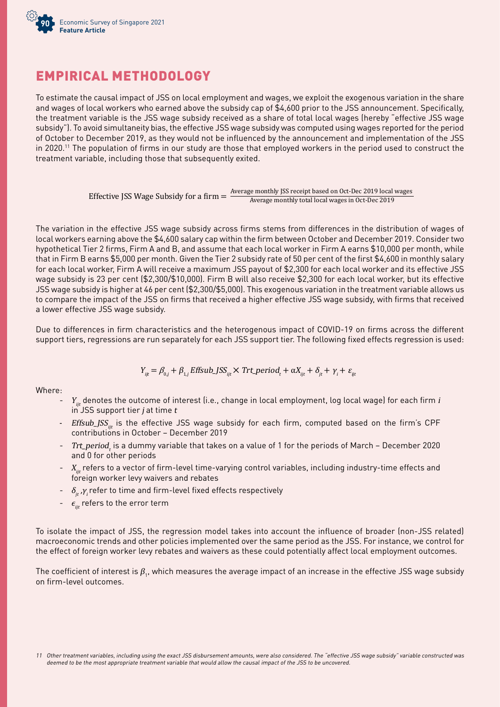

## EMPIRICAL METHODOLOGY

To estimate the causal impact of JSS on local employment and wages, we exploit the exogenous variation in the share and wages of local workers who earned above the subsidy cap of \$4,600 prior to the JSS announcement. Specifically, the treatment variable is the JSS wage subsidy received as a share of total local wages (hereby "effective JSS wage subsidy"). To avoid simultaneity bias, the effective JSS wage subsidy was computed using wages reported for the period of October to December 2019, as they would not be influenced by the announcement and implementation of the JSS in 2020.11 The population of firms in our study are those that employed workers in the period used to construct the treatment variable, including those that subsequently exited.

Effective JSS Wage Subsidy for a firm  $=$   $\frac{\text{Average monthly JS received based on Oct-Dec 2019 local wages}}{\text{Average monthly total local wages in Oct-Dec 2019}}$ 

The variation in the effective JSS wage subsidy across firms stems from differences in the distribution of wages of local workers earning above the \$4,600 salary cap within the firm between October and December 2019. Consider two hypothetical Tier 2 firms, Firm A and B, and assume that each local worker in Firm A earns \$10,000 per month, while that in Firm B earns \$5,000 per month. Given the Tier 2 subsidy rate of 50 per cent of the first \$4,600 in monthly salary for each local worker, Firm A will receive a maximum JSS payout of \$2,300 for each local worker and its effective JSS wage subsidy is 23 per cent (\$2,300/\$10,000). Firm B will also receive \$2,300 for each local worker, but its effective JSS wage subsidy is higher at 46 per cent (\$2,300/\$5,000). This exogenous variation in the treatment variable allows us to compare the impact of the JSS on firms that received a higher effective JSS wage subsidy, with firms that received a lower effective JSS wage subsidy.

Due to differences in firm characteristics and the heterogenous impact of COVID-19 on firms across the different support tiers, regressions are run separately for each JSS support tier. The following fixed effects regression is used:

$$
Y_{ijt} = \beta_{0,j} + \beta_{1,j} \text{ Effsub}\_ \text{JSS}_{ijt} \times \text{Trt\_period}_t + \alpha X_{ijt} + \delta_{jt} + \gamma_i + \varepsilon_{ijt}
$$

Where:

- $Y_{ij}$  denotes the outcome of interest (i.e., change in local employment, log local wage) for each firm i in JSS support tier  $j$  at time  $t$
- $Effsub$   $\sqrt{S_{\mu\nu}}$  is the effective JSS wage subsidy for each firm, computed based on the firm's CPF contributions in October – December 2019
- Trt\_period<sub>t</sub> is a dummy variable that takes on a value of 1 for the periods of March December 2020 and 0 for other periods
- $X_{ij}$  refers to a vector of firm-level time-varying control variables, including industry-time effects and foreign worker levy waivers and rebates
- $\delta_{_{jt}}$  , $\gamma_{_i}$ refer to time and firm-level fixed effects respectively
- $\epsilon_{ik}$  refers to the error term

To isolate the impact of JSS, the regression model takes into account the influence of broader (non-JSS related) macroeconomic trends and other policies implemented over the same period as the JSS. For instance, we control for the effect of foreign worker levy rebates and waivers as these could potentially affect local employment outcomes.

The coefficient of interest is  $\beta_{1}$ , which measures the average impact of an increase in the effective JSS wage subsidy on firm-level outcomes.

<sup>11</sup> Other treatment variables, including using the exact JSS disbursement amounts, were also considered. The "effective JSS wage subsidy" variable constructed was deemed to be the most appropriate treatment variable that would allow the causal impact of the JSS to be uncovered.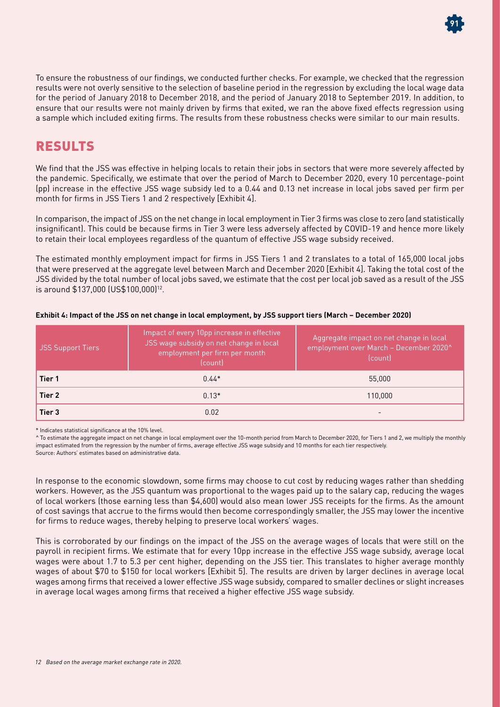

To ensure the robustness of our findings, we conducted further checks. For example, we checked that the regression results were not overly sensitive to the selection of baseline period in the regression by excluding the local wage data for the period of January 2018 to December 2018, and the period of January 2018 to September 2019. In addition, to ensure that our results were not mainly driven by firms that exited, we ran the above fixed effects regression using a sample which included exiting firms. The results from these robustness checks were similar to our main results.

#### RESULTS

We find that the JSS was effective in helping locals to retain their jobs in sectors that were more severely affected by the pandemic. Specifically, we estimate that over the period of March to December 2020, every 10 percentage-point (pp) increase in the effective JSS wage subsidy led to a 0.44 and 0.13 net increase in local jobs saved per firm per month for firms in JSS Tiers 1 and 2 respectively [Exhibit 4].

In comparison, the impact of JSS on the net change in local employment in Tier 3 firms was close to zero (and statistically insignificant). This could be because firms in Tier 3 were less adversely affected by COVID-19 and hence more likely to retain their local employees regardless of the quantum of effective JSS wage subsidy received.

The estimated monthly employment impact for firms in JSS Tiers 1 and 2 translates to a total of 165,000 local jobs that were preserved at the aggregate level between March and December 2020 [Exhibit 4]. Taking the total cost of the JSS divided by the total number of local jobs saved, we estimate that the cost per local job saved as a result of the JSS is around \$137,000 (US\$100,000)12.

| <b>JSS Support Tiers</b> | Impact of every 10pp increase in effective<br>JSS wage subsidy on net change in local<br>employment per firm per month<br>(count) | Aggregate impact on net change in local<br>employment over March - December 2020^<br>(count) |
|--------------------------|-----------------------------------------------------------------------------------------------------------------------------------|----------------------------------------------------------------------------------------------|
| Tier 1                   | $0.44*$                                                                                                                           | 55,000                                                                                       |
| Tier 2                   | $0.13*$                                                                                                                           | 110,000                                                                                      |
| Tier 3                   | 0.02                                                                                                                              |                                                                                              |

#### **Exhibit 4: Impact of the JSS on net change in local employment, by JSS support tiers (March – December 2020)**

\* Indicates statistical significance at the 10% level.

^ To estimate the aggregate impact on net change in local employment over the 10-month period from March to December 2020, for Tiers 1 and 2, we multiply the monthly impact estimated from the regression by the number of firms, average effective JSS wage subsidy and 10 months for each tier respectively. Source: Authors' estimates based on administrative data.

In response to the economic slowdown, some firms may choose to cut cost by reducing wages rather than shedding workers. However, as the JSS quantum was proportional to the wages paid up to the salary cap, reducing the wages of local workers (those earning less than \$4,600) would also mean lower JSS receipts for the firms. As the amount of cost savings that accrue to the firms would then become correspondingly smaller, the JSS may lower the incentive for firms to reduce wages, thereby helping to preserve local workers' wages.

This is corroborated by our findings on the impact of the JSS on the average wages of locals that were still on the payroll in recipient firms. We estimate that for every 10pp increase in the effective JSS wage subsidy, average local wages were about 1.7 to 5.3 per cent higher, depending on the JSS tier. This translates to higher average monthly wages of about \$70 to \$150 for local workers [Exhibit 5]. The results are driven by larger declines in average local wages among firms that received a lower effective JSS wage subsidy, compared to smaller declines or slight increases in average local wages among firms that received a higher effective JSS wage subsidy.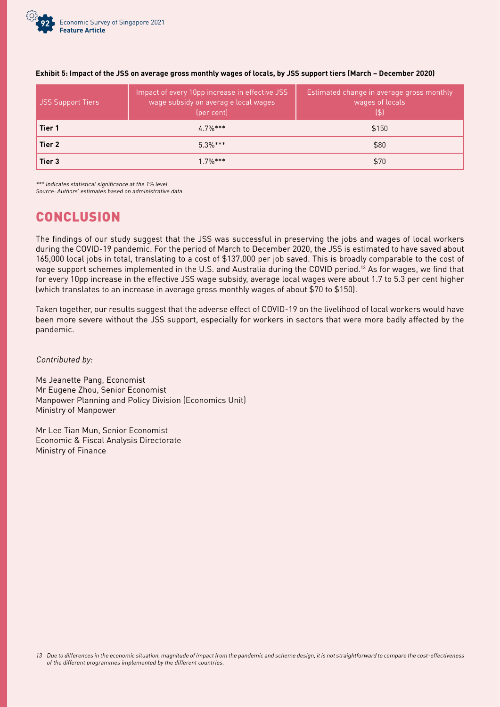

| <b>JSS Support Tiers</b> | Impact of every 10pp increase in effective JSS<br>wage subsidy on averag e local wages<br>(per cent) | Estimated change in average gross monthly<br>wages of locals<br>(4) |
|--------------------------|------------------------------------------------------------------------------------------------------|---------------------------------------------------------------------|
| Tier 1                   | $4.7\%***$                                                                                           | \$150                                                               |
| Tier 2                   | $5.3%***$                                                                                            | \$80                                                                |
| Tier 3                   | $1.7\%***$                                                                                           | \$70                                                                |

#### **Exhibit 5: Impact of the JSS on average gross monthly wages of locals, by JSS support tiers (March – December 2020)**

\*\*\* Indicates statistical significance at the 1% level.

Source: Authors' estimates based on administrative data.

## **CONCLUSION**

The findings of our study suggest that the JSS was successful in preserving the jobs and wages of local workers during the COVID-19 pandemic. For the period of March to December 2020, the JSS is estimated to have saved about 165,000 local jobs in total, translating to a cost of \$137,000 per job saved. This is broadly comparable to the cost of wage support schemes implemented in the U.S. and Australia during the COVID period.13 As for wages, we find that for every 10pp increase in the effective JSS wage subsidy, average local wages were about 1.7 to 5.3 per cent higher (which translates to an increase in average gross monthly wages of about \$70 to \$150).

Taken together, our results suggest that the adverse effect of COVID-19 on the livelihood of local workers would have been more severe without the JSS support, especially for workers in sectors that were more badly affected by the pandemic.

Contributed by:

Ms Jeanette Pang, Economist Mr Eugene Zhou, Senior Economist Manpower Planning and Policy Division (Economics Unit) Ministry of Manpower

Mr Lee Tian Mun, Senior Economist Economic & Fiscal Analysis Directorate Ministry of Finance